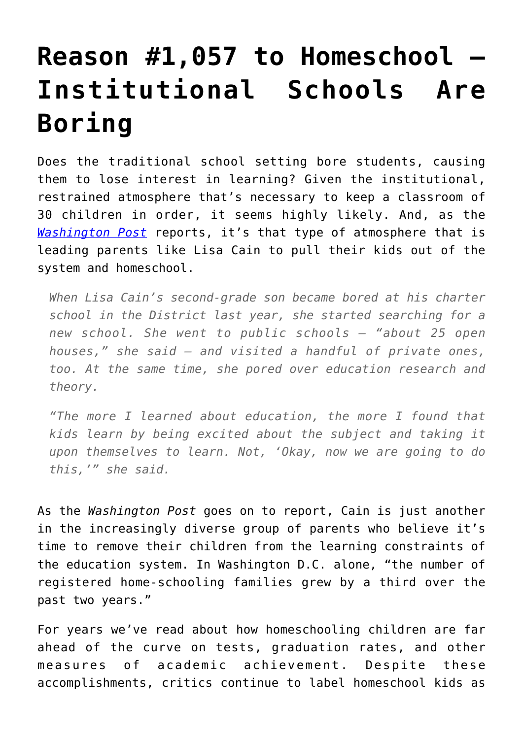## **[Reason #1,057 to Homeschool –](https://intellectualtakeout.org/2015/10/reason-1057-to-homeschool-institutional-schools-are-boring/) [Institutional Schools Are](https://intellectualtakeout.org/2015/10/reason-1057-to-homeschool-institutional-schools-are-boring/) [Boring](https://intellectualtakeout.org/2015/10/reason-1057-to-homeschool-institutional-schools-are-boring/)**

Does the traditional school setting bore students, causing them to lose interest in learning? Given the institutional, restrained atmosphere that's necessary to keep a classroom of 30 children in order, it seems highly likely. And, as the *[Washington Post](https://www.washingtonpost.com/local/education/number-of-home-schooled-students-increases-in-the-district/2015/10/10/cb2e3e44-6e9c-11e5-9bfe-e59f5e244f92_story.html)* reports, it's that type of atmosphere that is leading parents like Lisa Cain to pull their kids out of the system and homeschool.

*When Lisa Cain's second-grade son became bored at his charter school in the District last year, she started searching for a new school. She went to public schools — "about 25 open houses," she said — and visited a handful of private ones, too. At the same time, she pored over education research and theory.*

*"The more I learned about education, the more I found that kids learn by being excited about the subject and taking it upon themselves to learn. Not, 'Okay, now we are going to do this,'" she said.*

As the *Washington Post* goes on to report, Cain is just another in the increasingly diverse group of parents who believe it's time to remove their children from the learning constraints of the education system. In Washington D.C. alone, "the number of registered home-schooling families grew by a third over the past two years."

For years we've read about how homeschooling children are far ahead of the curve on tests, graduation rates, and other measures of academic achievement. Despite these accomplishments, critics continue to label homeschool kids as